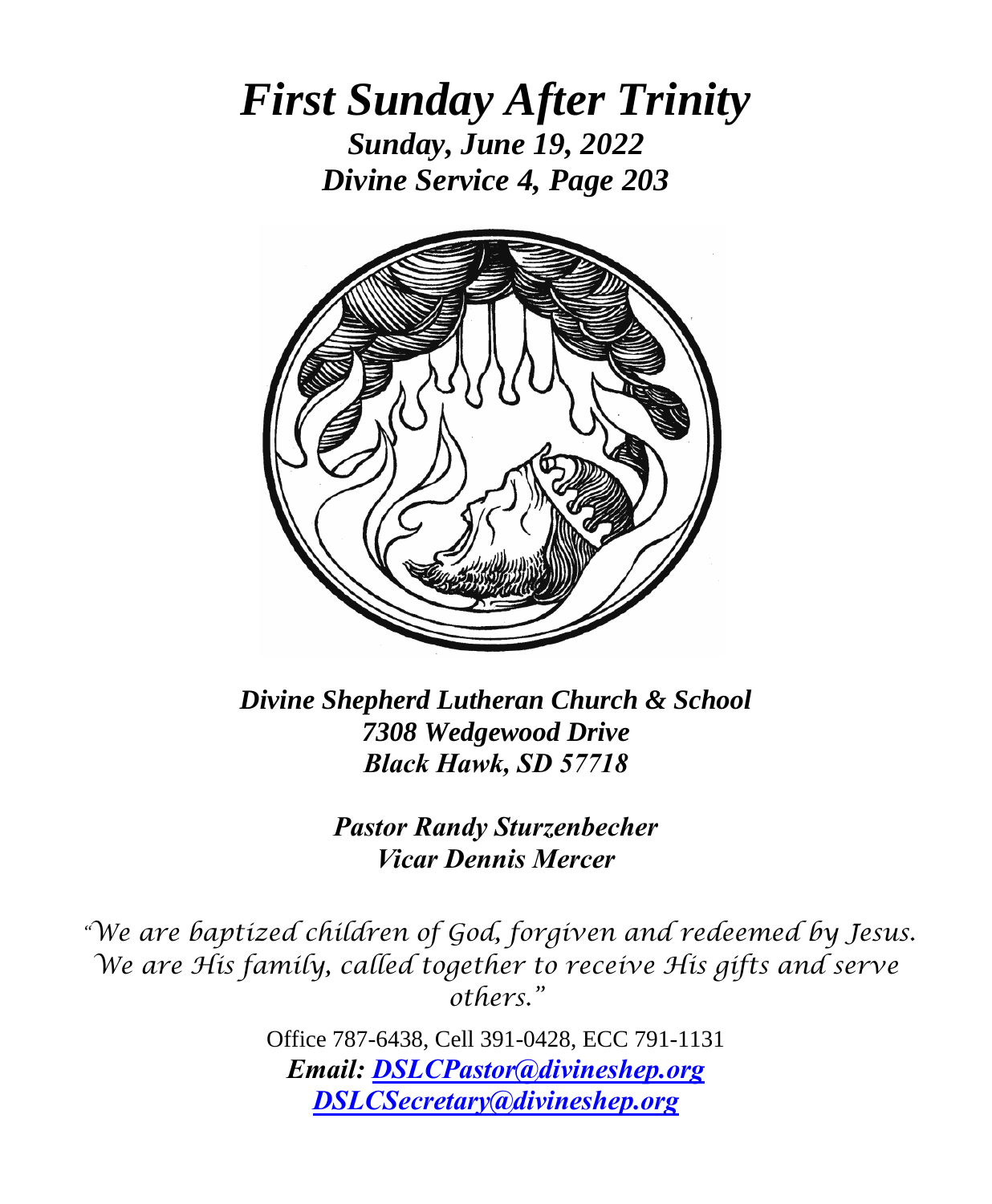*First Sunday After Trinity Sunday, June 19, 2022 Divine Service 4, Page 203*



*Divine Shepherd Lutheran Church & School 7308 Wedgewood Drive Black Hawk, SD 57718*

> *Pastor Randy Sturzenbecher Vicar Dennis Mercer*

*"We are baptized children of God, forgiven and redeemed by Jesus. We are His family, called together to receive His gifts and serve others."*

> Office 787-6438, Cell 391-0428, ECC 791-1131 *Email: [DSLCPastor@divineshep.org](mailto:DSLCPastor@divineshep.org) [DSLCSecretary@divineshep.org](mailto:DSLCSecretary@divineshep.org)*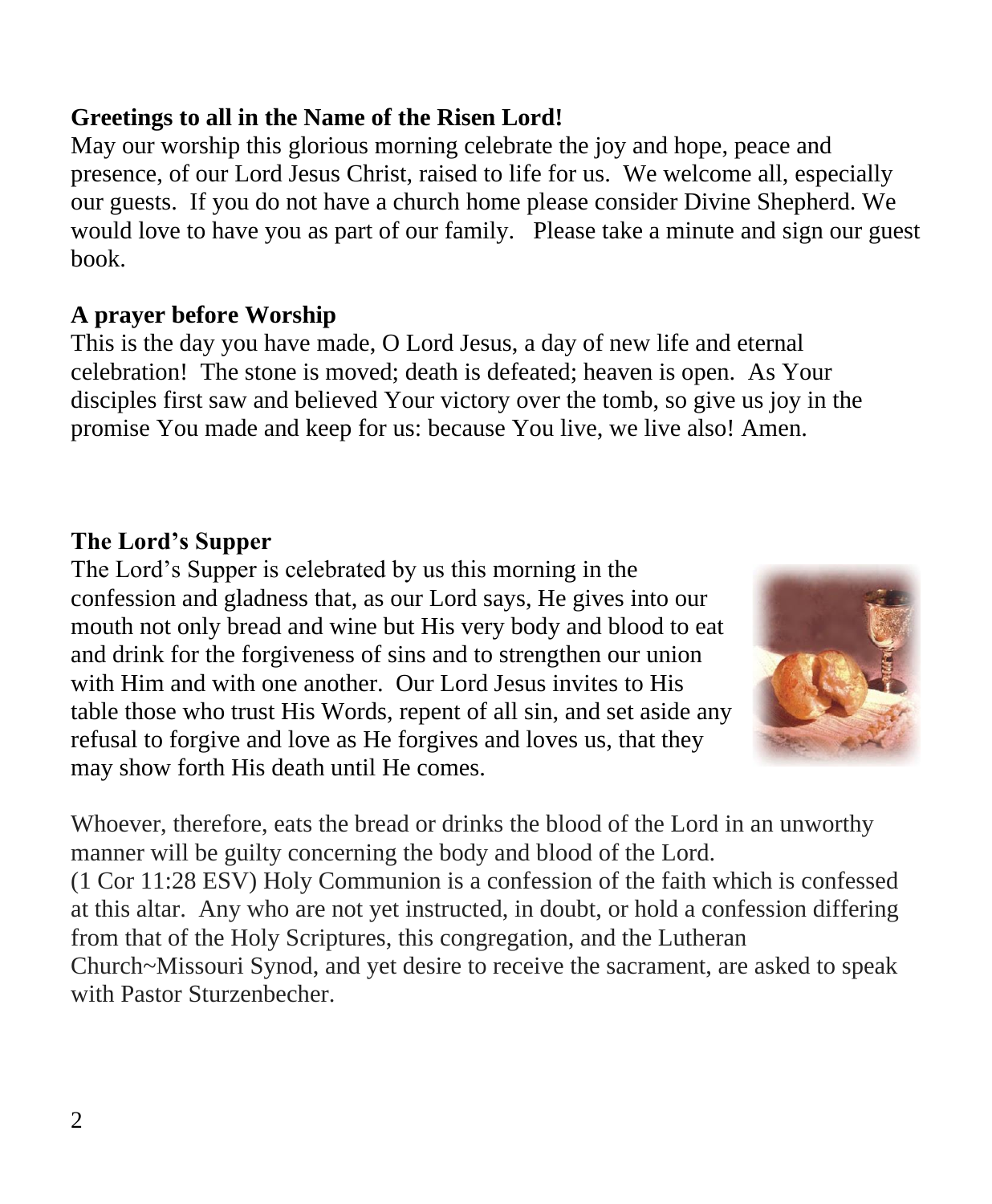#### **Greetings to all in the Name of the Risen Lord!**

May our worship this glorious morning celebrate the joy and hope, peace and presence, of our Lord Jesus Christ, raised to life for us. We welcome all, especially our guests. If you do not have a church home please consider Divine Shepherd. We would love to have you as part of our family. Please take a minute and sign our guest book.

#### **A prayer before Worship**

This is the day you have made, O Lord Jesus, a day of new life and eternal celebration! The stone is moved; death is defeated; heaven is open. As Your disciples first saw and believed Your victory over the tomb, so give us joy in the promise You made and keep for us: because You live, we live also! Amen.

#### **The Lord's Supper**

The Lord's Supper is celebrated by us this morning in the confession and gladness that, as our Lord says, He gives into our mouth not only bread and wine but His very body and blood to eat and drink for the forgiveness of sins and to strengthen our union with Him and with one another. Our Lord Jesus invites to His table those who trust His Words, repent of all sin, and set aside any refusal to forgive and love as He forgives and loves us, that they may show forth His death until He comes.



Whoever, therefore, eats the bread or drinks the blood of the Lord in an unworthy manner will be guilty concerning the body and blood of the Lord. (1 Cor 11:28 ESV) Holy Communion is a confession of the faith which is confessed at this altar. Any who are not yet instructed, in doubt, or hold a confession differing from that of the Holy Scriptures, this congregation, and the Lutheran Church~Missouri Synod, and yet desire to receive the sacrament, are asked to speak with Pastor Sturzenbecher.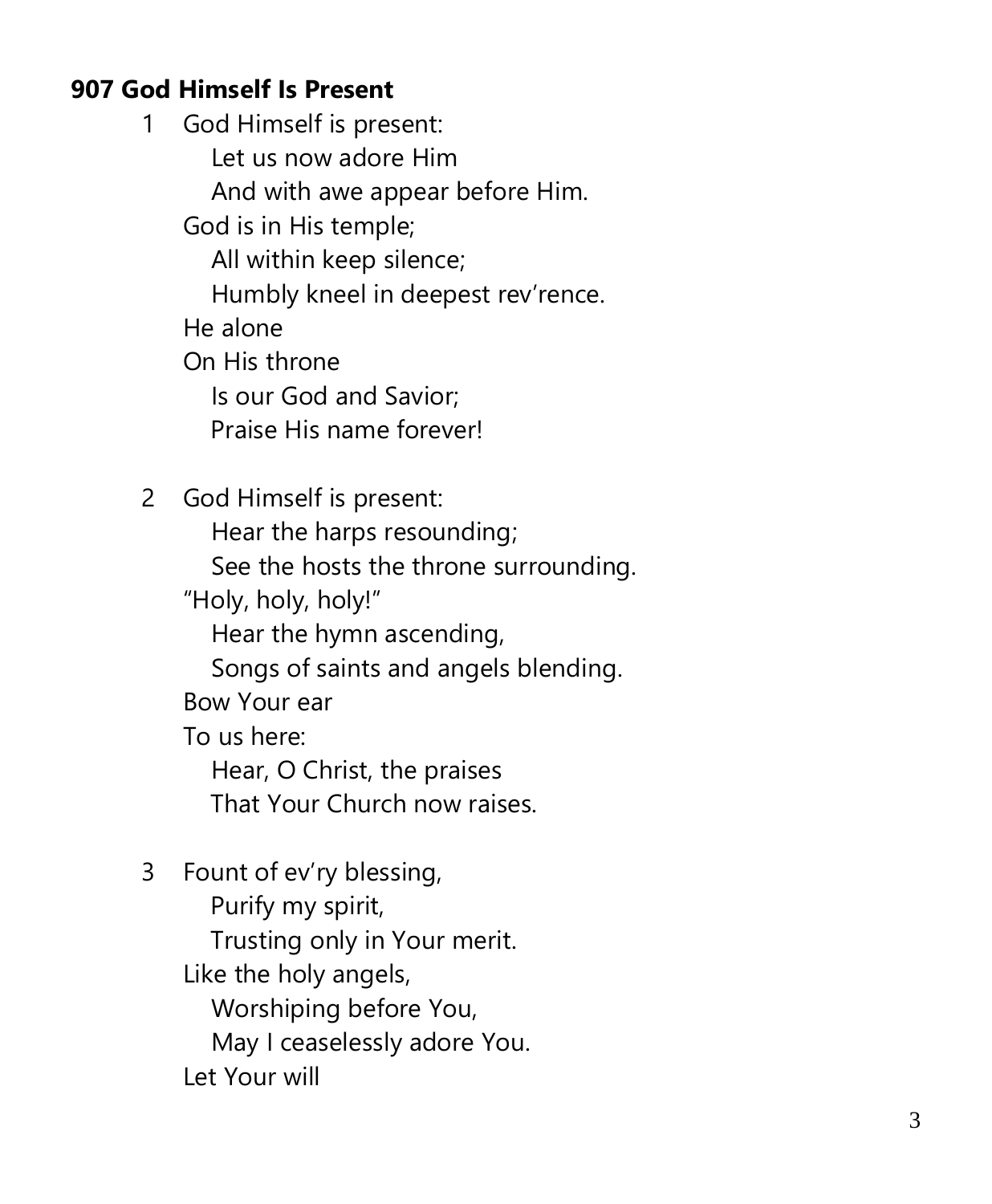#### **907 God Himself Is Present**

1 God Himself is present: Let us now adore Him And with awe appear before Him. God is in His temple; All within keep silence; Humbly kneel in deepest rev'rence. He alone On His throne Is our God and Savior; Praise His name forever! 2 God Himself is present: Hear the harps resounding;

 See the hosts the throne surrounding. "Holy, holy, holy!" Hear the hymn ascending, Songs of saints and angels blending. Bow Your ear To us here: Hear, O Christ, the praises

That Your Church now raises.

3 Fount of ev'ry blessing, Purify my spirit, Trusting only in Your merit. Like the holy angels, Worshiping before You, May I ceaselessly adore You. Let Your will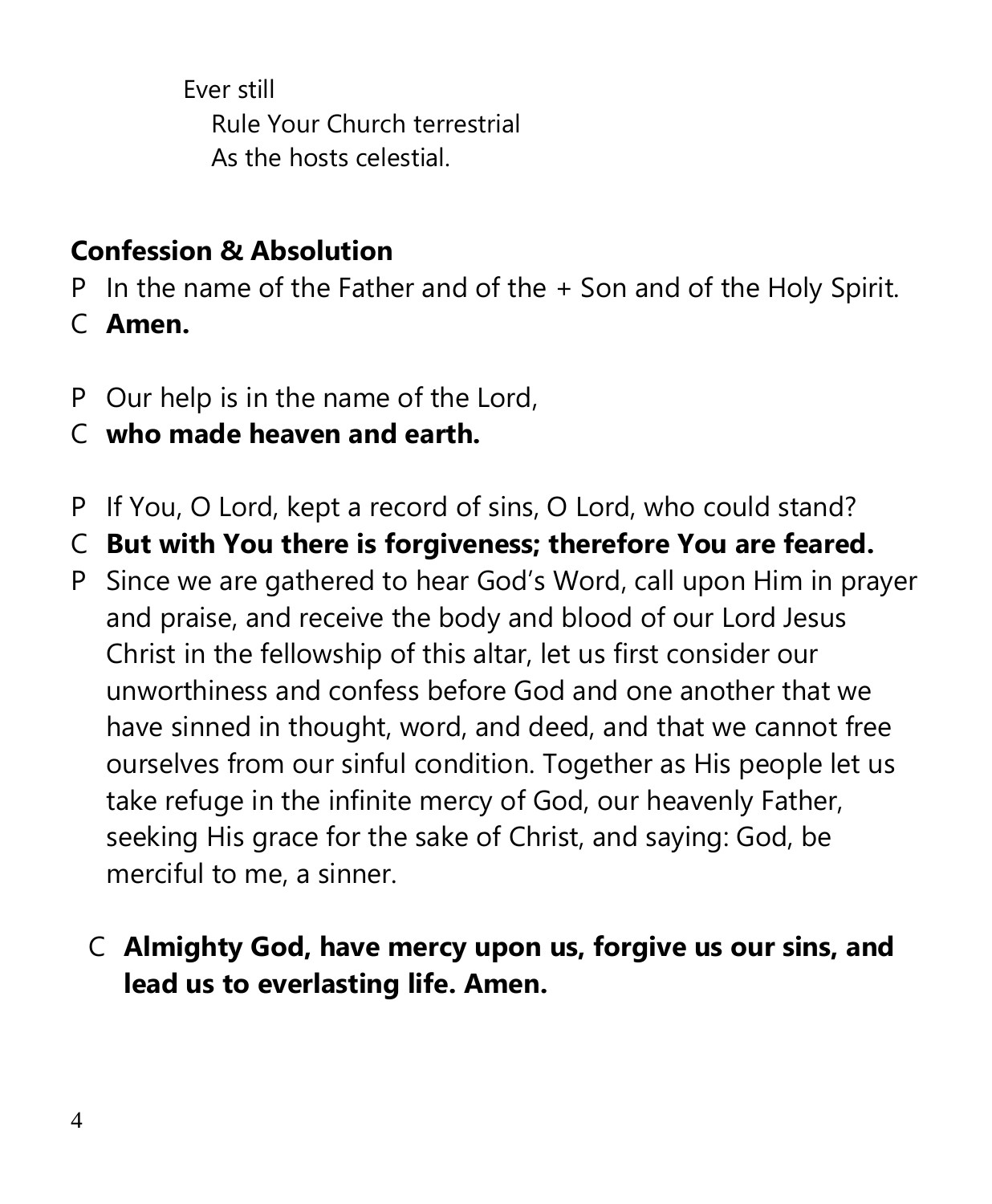Ever still Rule Your Church terrestrial As the hosts celestial.

# **Confession & Absolution**

- P In the name of the Father and of the + Son and of the Holy Spirit.
- C **Amen.**
- P Our help is in the name of the Lord,
- C **who made heaven and earth.**
- P If You, O Lord, kept a record of sins, O Lord, who could stand?
- C **But with You there is forgiveness; therefore You are feared.**
- P Since we are gathered to hear God's Word, call upon Him in prayer and praise, and receive the body and blood of our Lord Jesus Christ in the fellowship of this altar, let us first consider our unworthiness and confess before God and one another that we have sinned in thought, word, and deed, and that we cannot free ourselves from our sinful condition. Together as His people let us take refuge in the infinite mercy of God, our heavenly Father, seeking His grace for the sake of Christ, and saying: God, be merciful to me, a sinner.
	- C **Almighty God, have mercy upon us, forgive us our sins, and lead us to everlasting life. Amen.**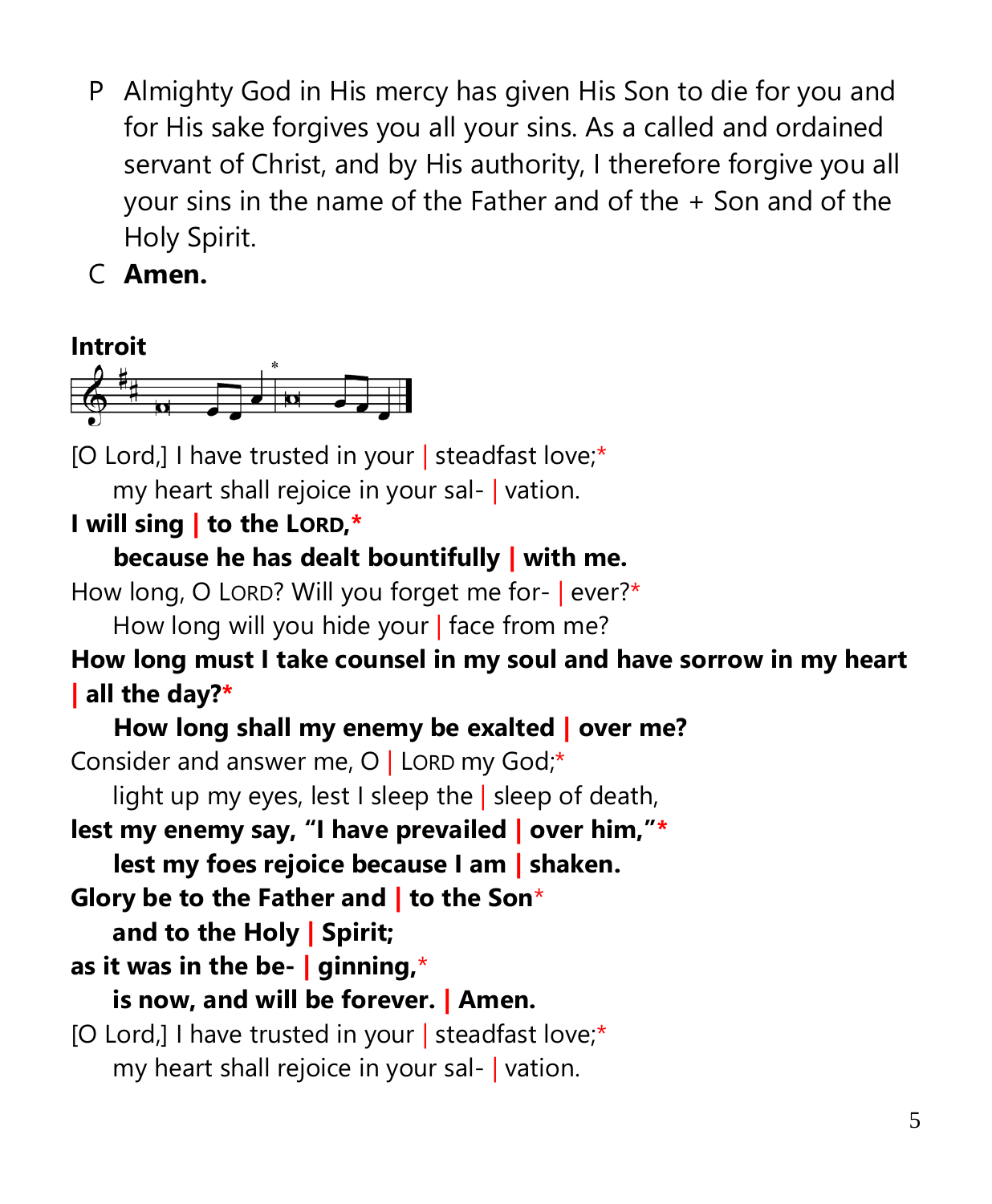- P Almighty God in His mercy has given His Son to die for you and for His sake forgives you all your sins. As a called and ordained servant of Christ, and by His authority, I therefore forgive you all your sins in the name of the Father and of the + Son and of the Holy Spirit.
- C **Amen.**



[O Lord,] I have trusted in your | steadfast love;\* my heart shall rejoice in your sal- | vation.

## **I will sing | to the LORD,\***

## **because he has dealt bountifully | with me.**

How long, O LORD? Will you forget me for- | ever?\* How long will you hide your | face from me?

## **How long must I take counsel in my soul and have sorrow in my heart | all the day?\***

## **How long shall my enemy be exalted | over me?** Consider and answer me, O | LORD my God;\* light up my eyes, lest I sleep the  $|$  sleep of death, **lest my enemy say, "I have prevailed | over him,"\* lest my foes rejoice because I am | shaken. Glory be to the Father and | to the Son**\* **and to the Holy | Spirit; as it was in the be- | ginning,**\* **is now, and will be forever. | Amen.** [O Lord,] I have trusted in your | steadfast love;\*

my heart shall rejoice in your sal- | vation.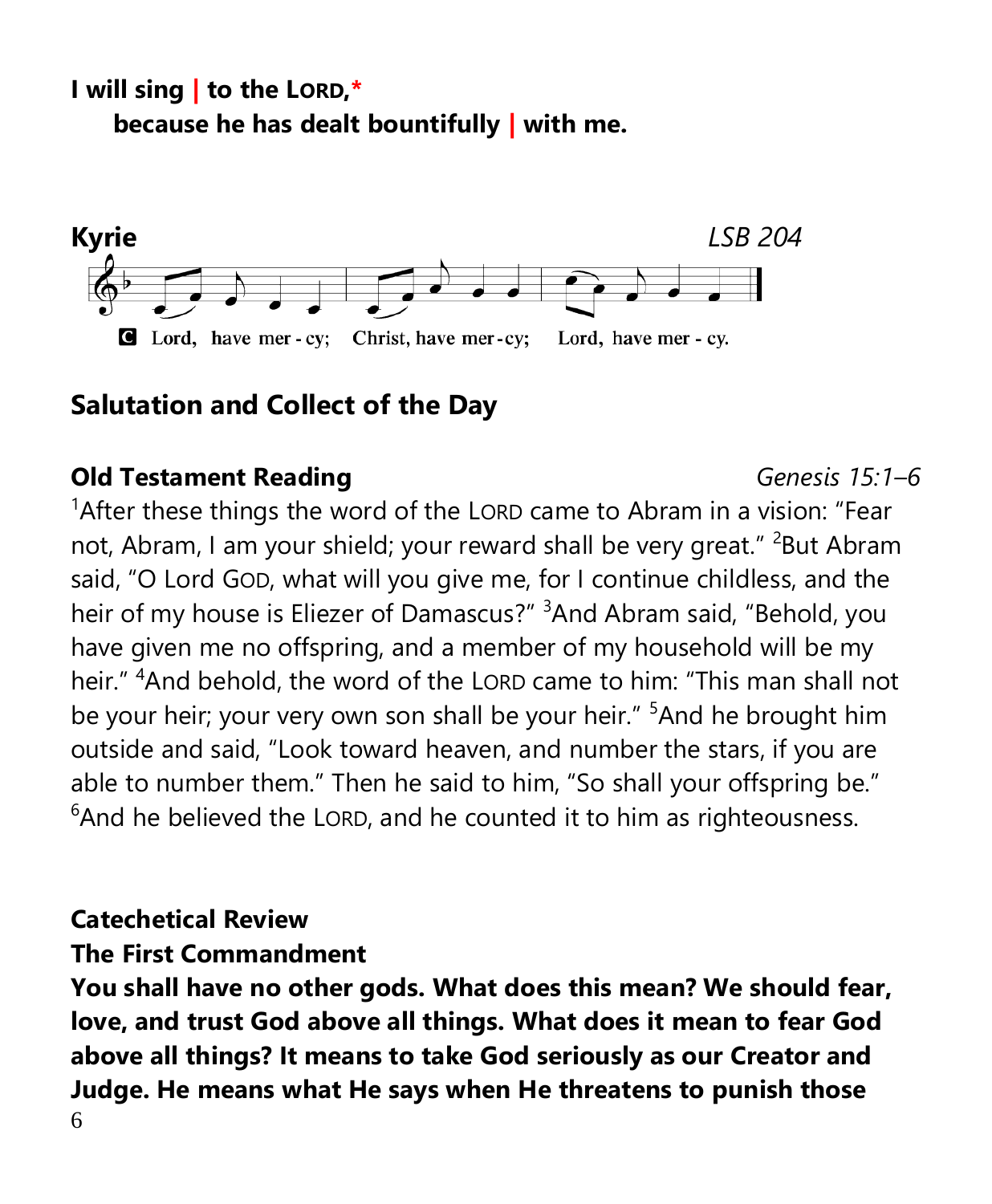**I will sing | to the LORD,\* because he has dealt bountifully | with me.**



## **Salutation and Collect of the Day**

#### **Old Testament Reading** *Genesis 15:1–6*

<sup>1</sup> After these things the word of the LORD came to Abram in a vision: "Fear not, Abram, I am your shield; your reward shall be very great." <sup>2</sup>But Abram said, "O Lord GOD, what will you give me, for I continue childless, and the heir of my house is Eliezer of Damascus?" <sup>3</sup>And Abram said, "Behold, you have given me no offspring, and a member of my household will be my heir." <sup>4</sup>And behold, the word of the LORD came to him: "This man shall not be your heir; your very own son shall be your heir." <sup>5</sup>And he brought him outside and said, "Look toward heaven, and number the stars, if you are able to number them." Then he said to him, "So shall your offspring be."  $6$ And he believed the LORD, and he counted it to him as righteousness.

## **Catechetical Review**

## **The First Commandment**

6 **You shall have no other gods. What does this mean? We should fear, love, and trust God above all things. What does it mean to fear God above all things? It means to take God seriously as our Creator and Judge. He means what He says when He threatens to punish those**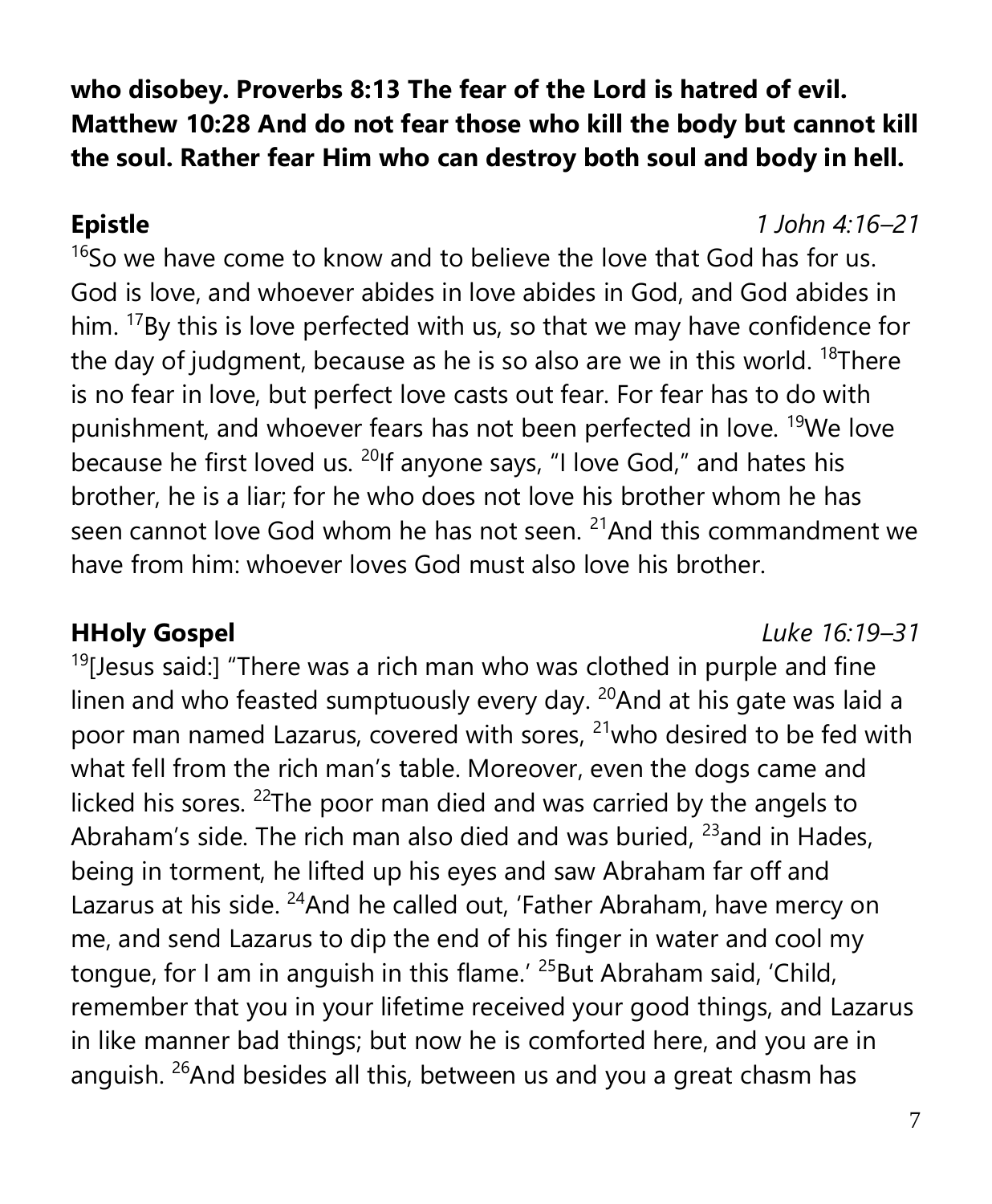**who disobey. Proverbs 8:13 The fear of the Lord is hatred of evil. Matthew 10:28 And do not fear those who kill the body but cannot kill the soul. Rather fear Him who can destroy both soul and body in hell.**

**Epistle** *1 John 4:16–21*

 $16$ So we have come to know and to believe the love that God has for us. God is love, and whoever abides in love abides in God, and God abides in him. <sup>17</sup>By this is love perfected with us, so that we may have confidence for the day of judgment, because as he is so also are we in this world.  $18$ There is no fear in love, but perfect love casts out fear. For fear has to do with punishment, and whoever fears has not been perfected in love. <sup>19</sup>We love because he first loved us. <sup>20</sup>If anyone says, "I love God," and hates his brother, he is a liar; for he who does not love his brother whom he has seen cannot love God whom he has not seen.  $21$ And this commandment we have from him: whoever loves God must also love his brother.

**HHoly Gospel** *Luke 16:19–31*

 $19$ [Jesus said:] "There was a rich man who was clothed in purple and fine linen and who feasted sumptuously every day.  $20$ And at his gate was laid a poor man named Lazarus, covered with sores, <sup>21</sup>who desired to be fed with what fell from the rich man's table. Moreover, even the dogs came and licked his sores. <sup>22</sup>The poor man died and was carried by the angels to Abraham's side. The rich man also died and was buried,  $23$  and in Hades, being in torment, he lifted up his eyes and saw Abraham far off and Lazarus at his side. <sup>24</sup>And he called out, 'Father Abraham, have mercy on me, and send Lazarus to dip the end of his finger in water and cool my tongue, for I am in anguish in this flame.<sup>' 25</sup>But Abraham said, 'Child, remember that you in your lifetime received your good things, and Lazarus in like manner bad things; but now he is comforted here, and you are in anguish.  $26$ And besides all this, between us and you a great chasm has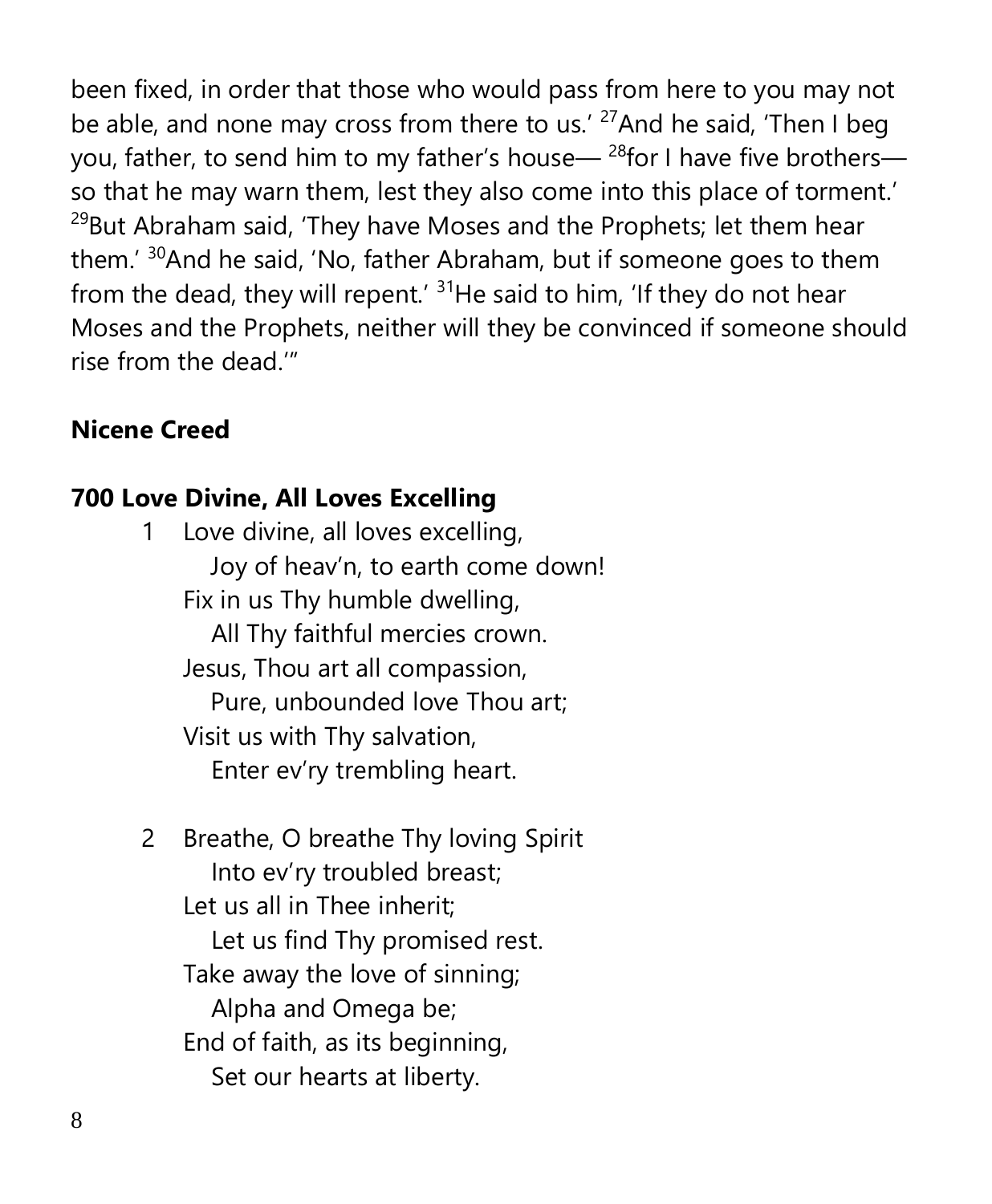been fixed, in order that those who would pass from here to you may not be able, and none may cross from there to us.<sup>' 27</sup>And he said, 'Then I beg you, father, to send him to my father's house— $^{28}$  for I have five brothers so that he may warn them, lest they also come into this place of torment.'  $29$ But Abraham said, 'They have Moses and the Prophets; let them hear them.' <sup>30</sup>And he said, 'No, father Abraham, but if someone goes to them from the dead, they will repent.<sup>' 31</sup>He said to him, 'If they do not hear Moses and the Prophets, neither will they be convinced if someone should rise from the dead.'"

#### **Nicene Creed**

#### **700 Love Divine, All Loves Excelling**

- 1 Love divine, all loves excelling, Joy of heav'n, to earth come down! Fix in us Thy humble dwelling, All Thy faithful mercies crown. Jesus, Thou art all compassion, Pure, unbounded love Thou art; Visit us with Thy salvation, Enter ev'ry trembling heart.
- 2 Breathe, O breathe Thy loving Spirit Into ev'ry troubled breast; Let us all in Thee inherit; Let us find Thy promised rest. Take away the love of sinning; Alpha and Omega be; End of faith, as its beginning, Set our hearts at liberty.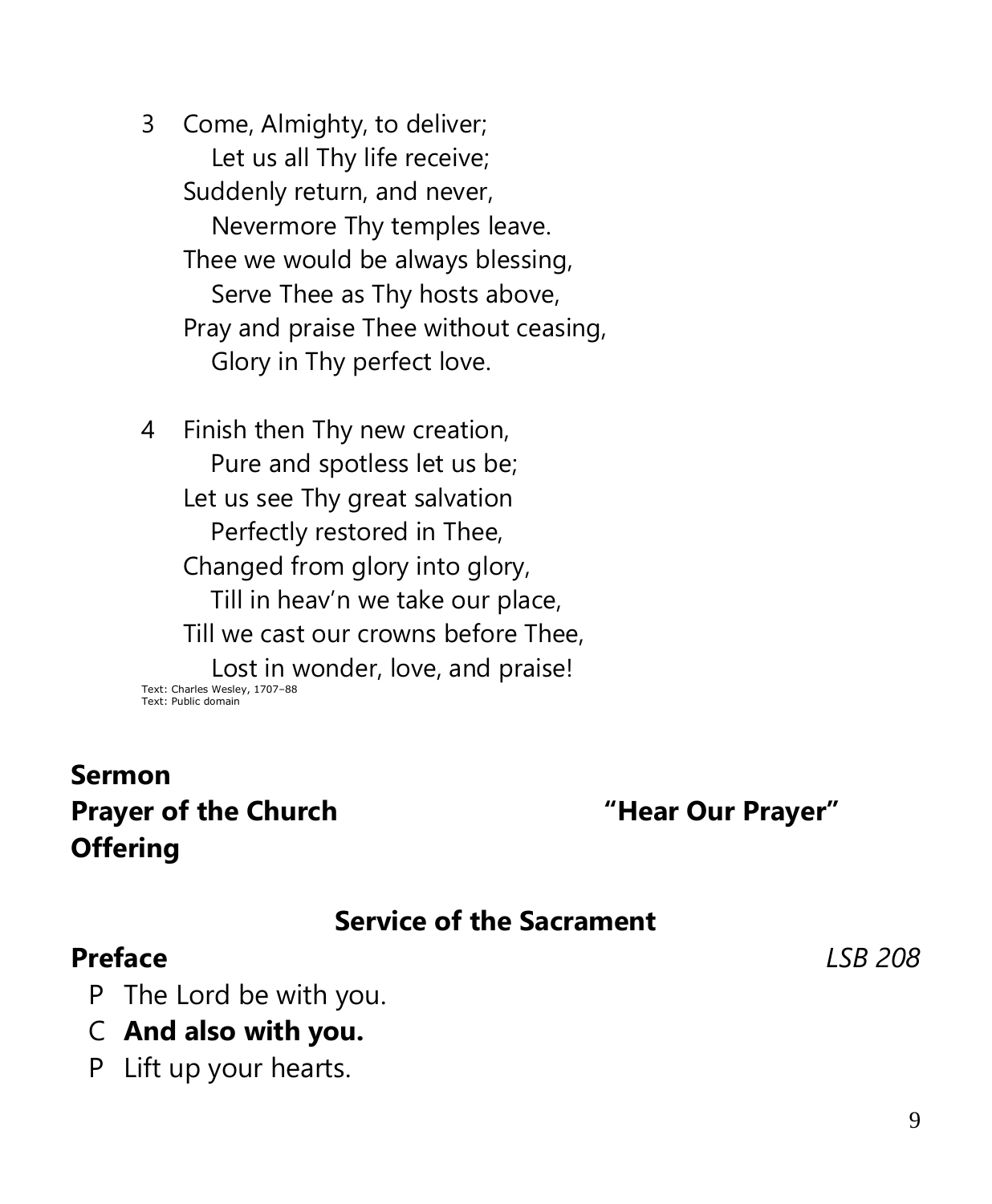3 Come, Almighty, to deliver; Let us all Thy life receive; Suddenly return, and never, Nevermore Thy temples leave. Thee we would be always blessing, Serve Thee as Thy hosts above, Pray and praise Thee without ceasing, Glory in Thy perfect love.

4 Finish then Thy new creation, Pure and spotless let us be; Let us see Thy great salvation Perfectly restored in Thee, Changed from glory into glory, Till in heav'n we take our place, Till we cast our crowns before Thee, Lost in wonder, love, and praise! Text: Charles Wesley, 1707–88 Text: Public domain

# **Sermon Prayer of the Church "Hear Our Prayer" Offering**

## **Service of the Sacrament**

## **Preface** *LSB 208*

- P The Lord be with you.
- C **And also with you.**
- P Lift up your hearts.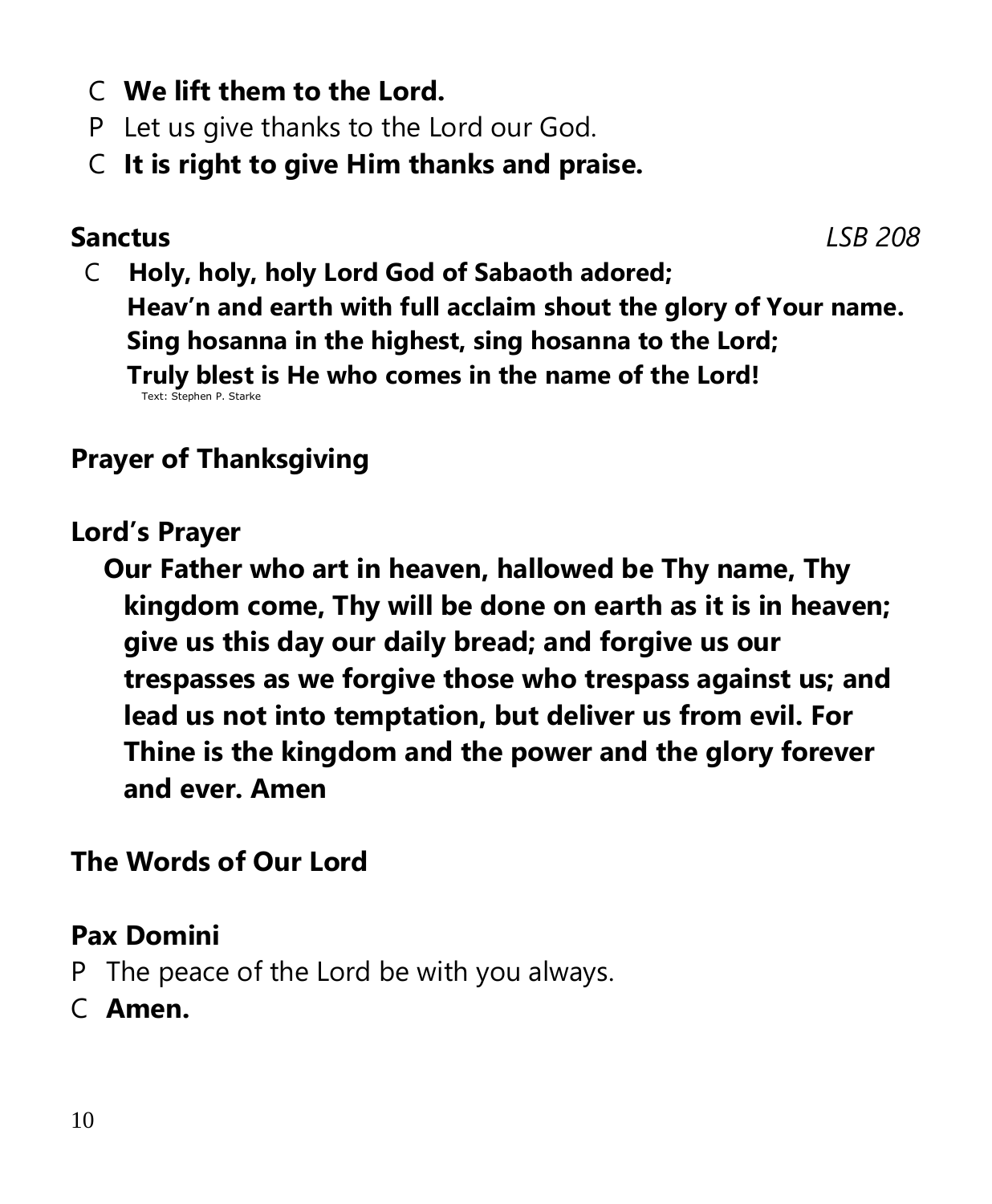- C **We lift them to the Lord.**
- P Let us give thanks to the Lord our God.
- C **It is right to give Him thanks and praise.**

## **Sanctus** *LSB 208*

 C **Holy, holy, holy Lord God of Sabaoth adored; Heav'n and earth with full acclaim shout the glory of Your name. Sing hosanna in the highest, sing hosanna to the Lord; Truly blest is He who comes in the name of the Lord!** Text: Stephen P. St

# **Prayer of Thanksgiving**

#### **Lord's Prayer**

 **Our Father who art in heaven, hallowed be Thy name, Thy kingdom come, Thy will be done on earth as it is in heaven; give us this day our daily bread; and forgive us our trespasses as we forgive those who trespass against us; and lead us not into temptation, but deliver us from evil. For Thine is the kingdom and the power and the glory forever and ever. Amen**

## **The Words of Our Lord**

## **Pax Domini**

- P The peace of the Lord be with you always.
- C **Amen.**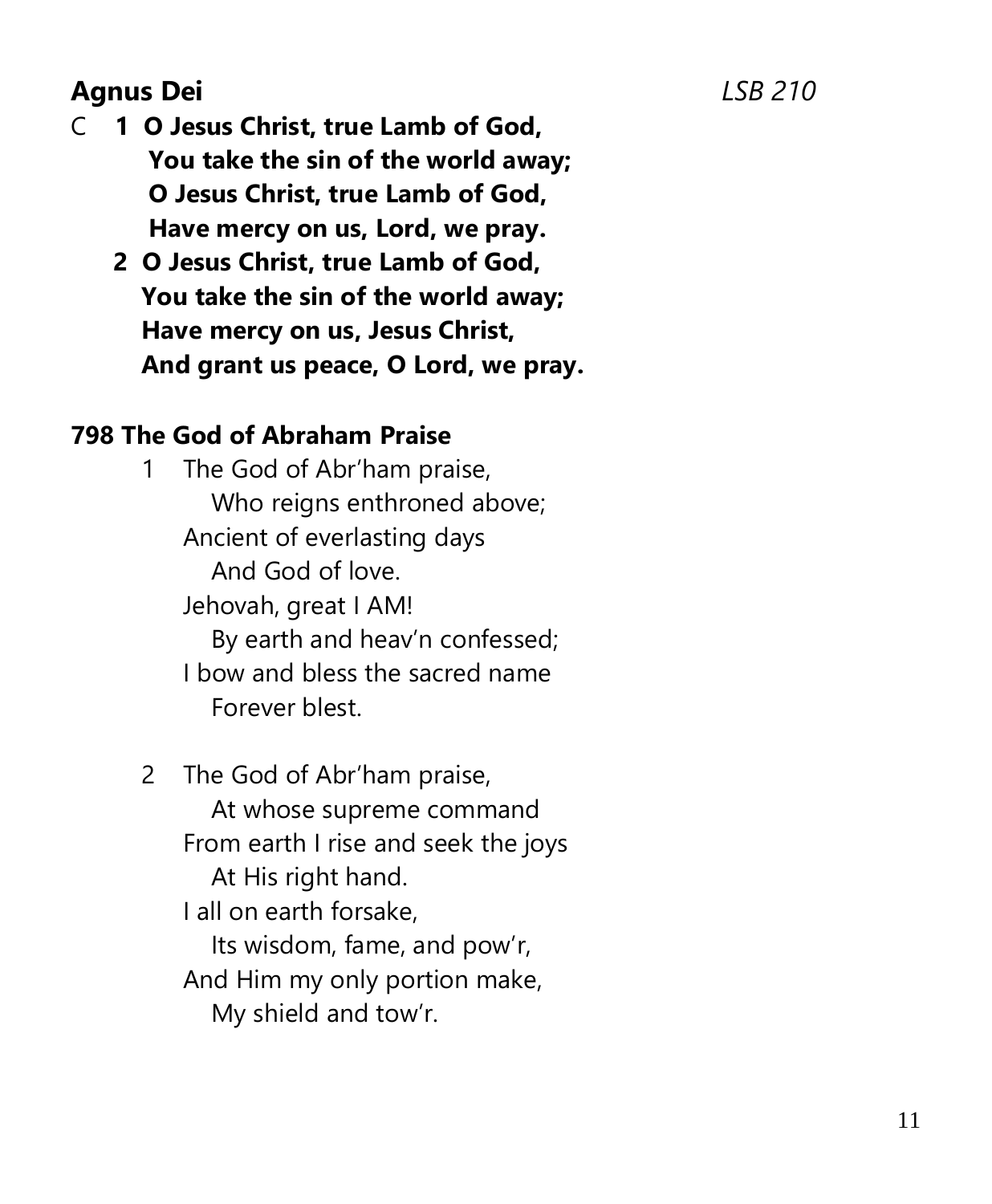# **Agnus Dei** *LSB 210*

- C **1 O Jesus Christ, true Lamb of God, You take the sin of the world away; O Jesus Christ, true Lamb of God, Have mercy on us, Lord, we pray.**
	- **2 O Jesus Christ, true Lamb of God, You take the sin of the world away; Have mercy on us, Jesus Christ, And grant us peace, O Lord, we pray.**

#### **798 The God of Abraham Praise**

1 The God of Abr'ham praise, Who reigns enthroned above; Ancient of everlasting days And God of love. Jehovah, great I AM! By earth and heav'n confessed; I bow and bless the sacred name Forever blest.

2 The God of Abr'ham praise, At whose supreme command From earth I rise and seek the joys At His right hand. I all on earth forsake, Its wisdom, fame, and pow'r, And Him my only portion make, My shield and tow'r.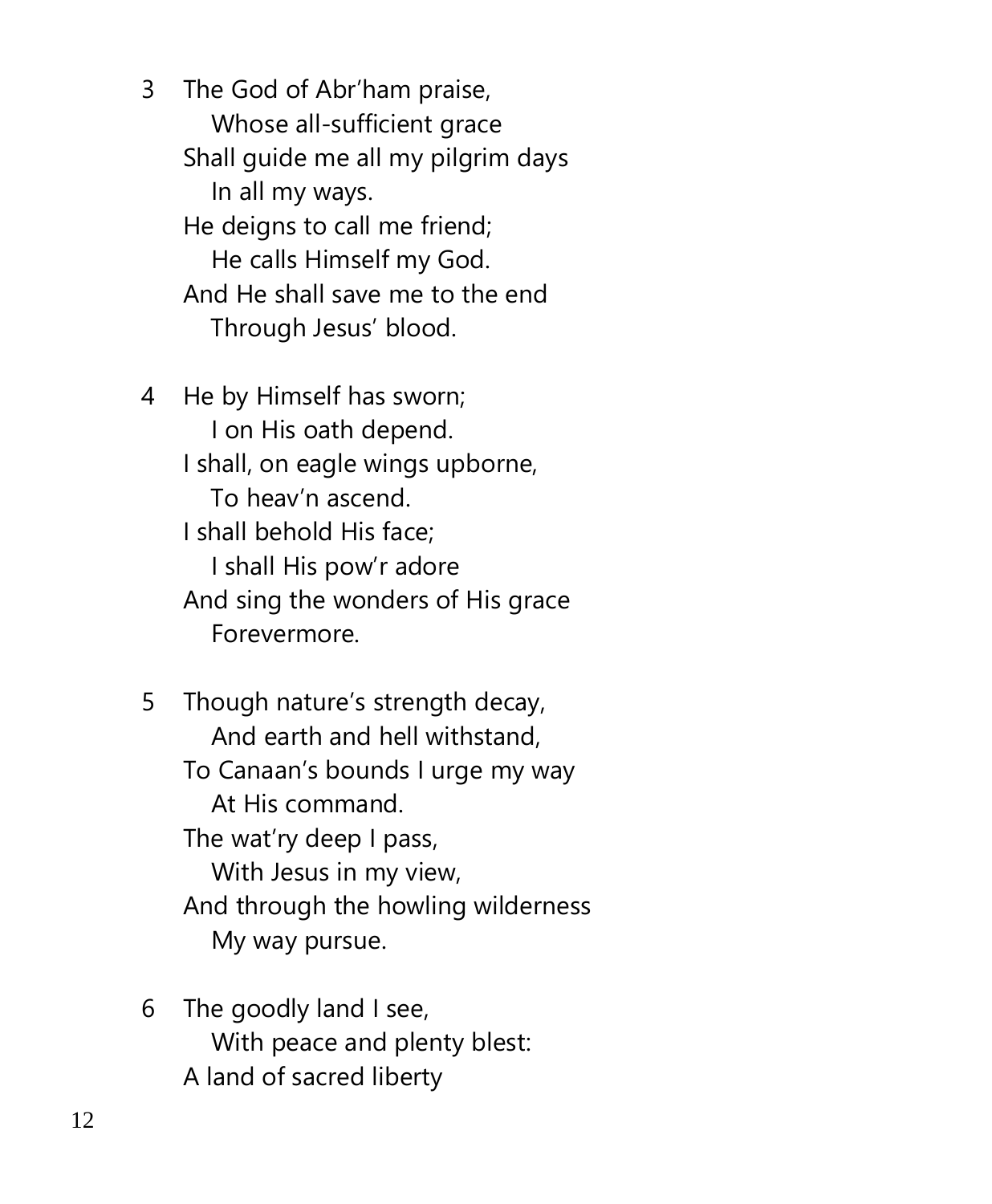3 The God of Abr'ham praise, Whose all-sufficient grace Shall guide me all my pilgrim days In all my ways. He deigns to call me friend; He calls Himself my God. And He shall save me to the end Through Jesus' blood.

- 4 He by Himself has sworn; I on His oath depend. I shall, on eagle wings upborne, To heav'n ascend. I shall behold His face; I shall His pow'r adore And sing the wonders of His grace Forevermore.
- 5 Though nature's strength decay, And earth and hell withstand, To Canaan's bounds I urge my way At His command. The wat'ry deep I pass, With Jesus in my view, And through the howling wilderness My way pursue.
- 6 The goodly land I see, With peace and plenty blest: A land of sacred liberty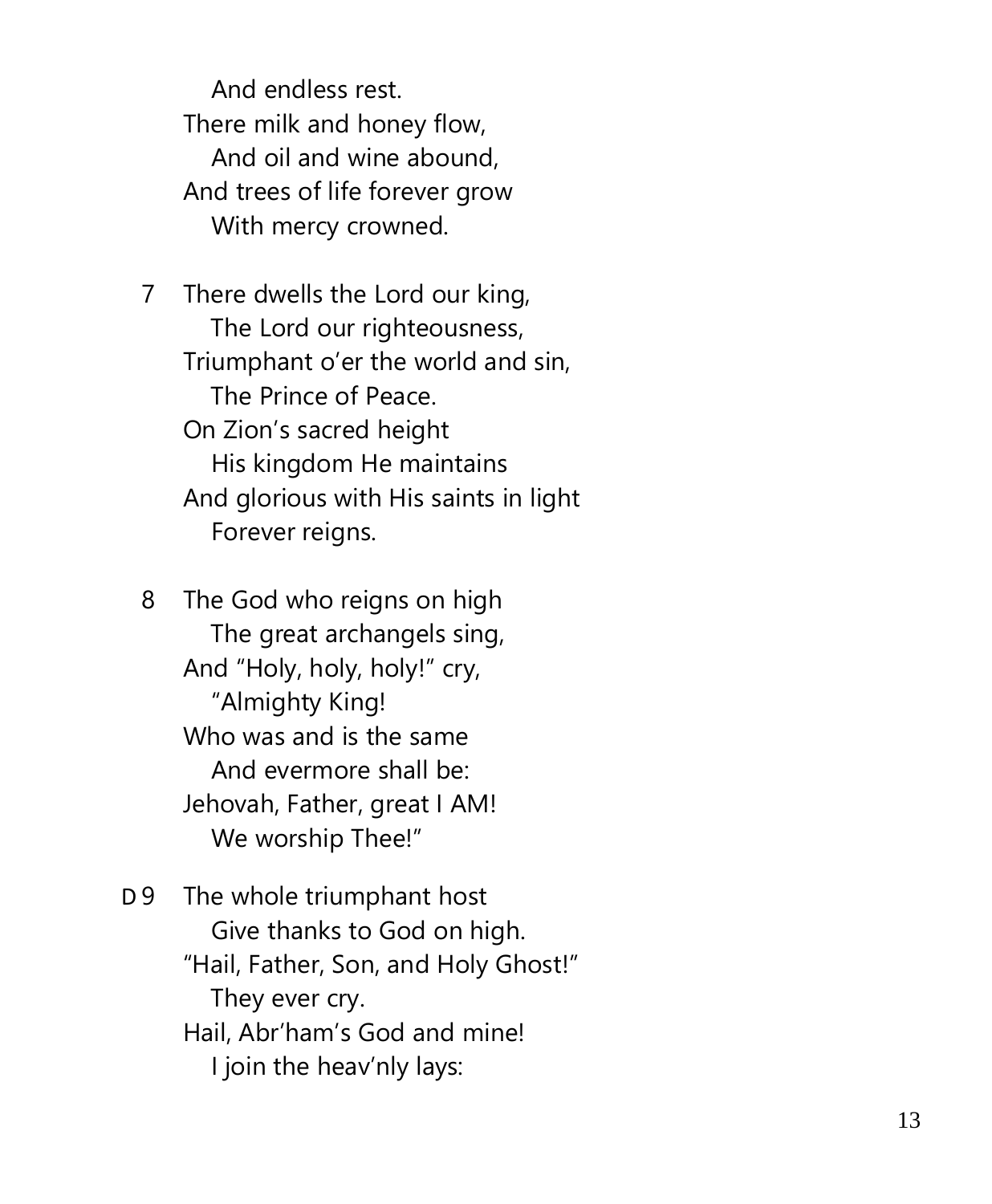And endless rest. There milk and honey flow, And oil and wine abound, And trees of life forever grow With mercy crowned.

7 There dwells the Lord our king, The Lord our righteousness, Triumphant o'er the world and sin, The Prince of Peace. On Zion's sacred height His kingdom He maintains And glorious with His saints in light Forever reigns.

8 The God who reigns on high The great archangels sing, And "Holy, holy, holy!" cry, "Almighty King! Who was and is the same And evermore shall be: Jehovah, Father, great I AM! We worship Thee!"

 $D<sub>9</sub>$ The whole triumphant host Give thanks to God on high. "Hail, Father, Son, and Holy Ghost!" They ever cry. Hail, Abr'ham's God and mine! I join the heav'nly lays: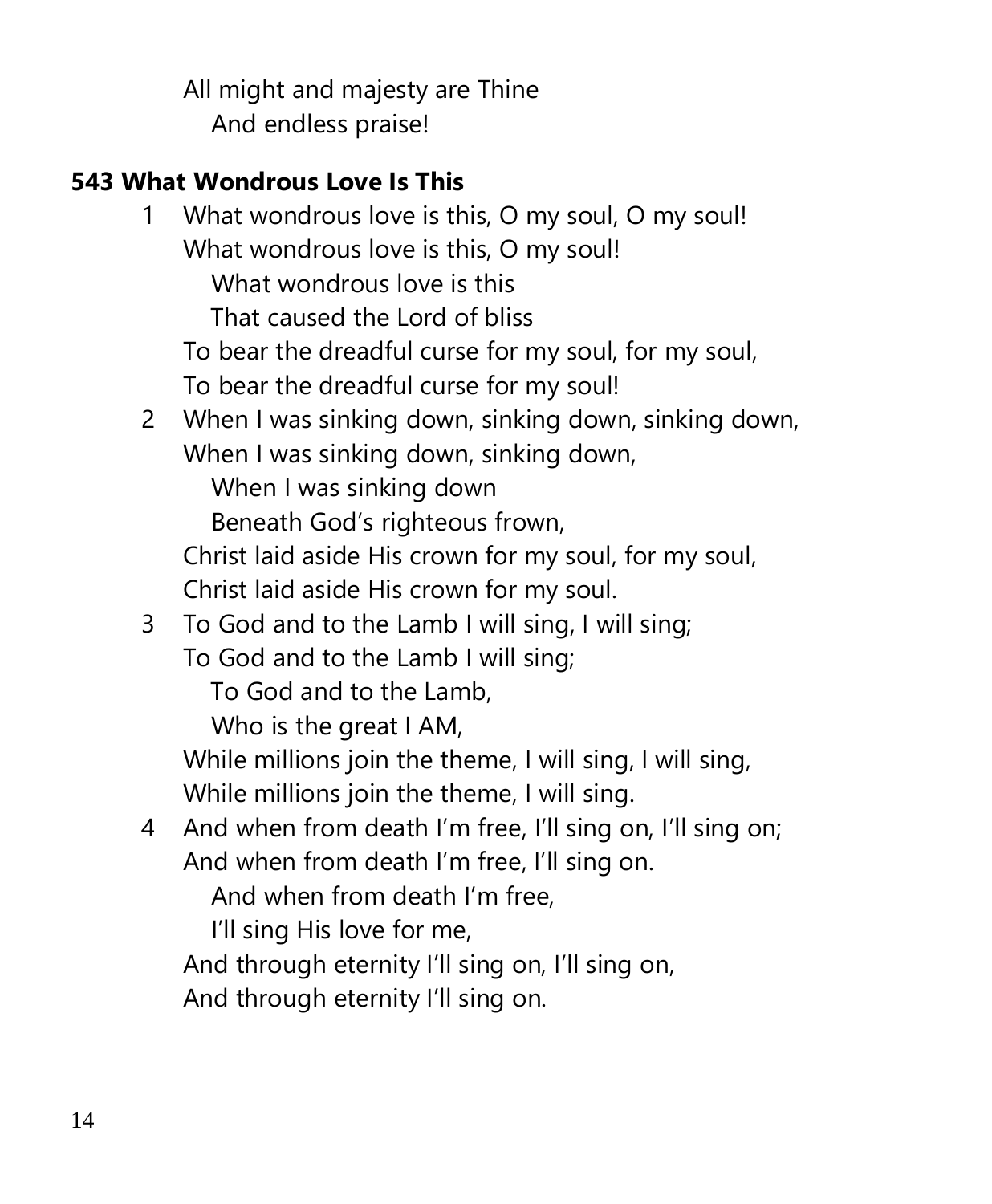All might and majesty are Thine And endless praise!

# **543 What Wondrous Love Is This**

1 What wondrous love is this, O my soul, O my soul! What wondrous love is this, O my soul! What wondrous love is this That caused the Lord of bliss To bear the dreadful curse for my soul, for my soul, To bear the dreadful curse for my soul! 2 When I was sinking down, sinking down, sinking down, When I was sinking down, sinking down, When I was sinking down Beneath God's righteous frown, Christ laid aside His crown for my soul, for my soul, Christ laid aside His crown for my soul. 3 To God and to the Lamb I will sing, I will sing; To God and to the Lamb I will sing; To God and to the Lamb, Who is the great I AM, While millions join the theme, I will sing, I will sing, While millions join the theme, I will sing. 4 And when from death I'm free, I'll sing on, I'll sing on; And when from death I'm free, I'll sing on. And when from death I'm free, I'll sing His love for me, And through eternity I'll sing on, I'll sing on, And through eternity I'll sing on.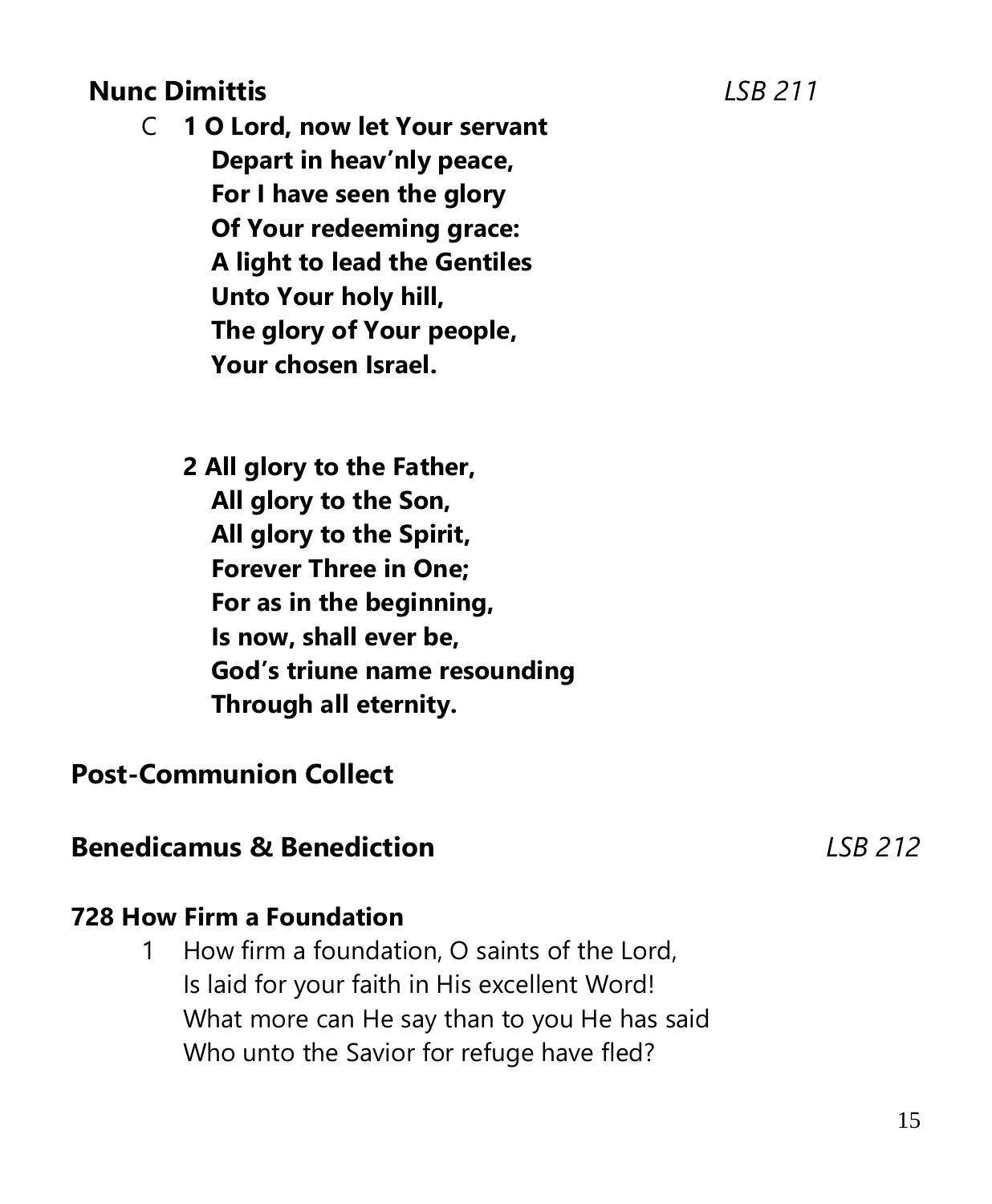## **Nunc Dimittis** *LSB 211*

- C **1 O Lord, now let Your servant Depart in heav'nly peace, For I have seen the glory Of Your redeeming grace: A light to lead the Gentiles Unto Your holy hill, The glory of Your people, Your chosen Israel.**
	- **2 All glory to the Father, All glory to the Son, All glory to the Spirit, Forever Three in One; For as in the beginning, Is now, shall ever be, God's triune name resounding Through all eternity.**

## **Post-Communion Collect**

## **Benedicamus & Benediction** *LSB 212*

#### **728 How Firm a Foundation**

1 How firm a foundation, O saints of the Lord, Is laid for your faith in His excellent Word! What more can He say than to you He has said Who unto the Savior for refuge have fled?